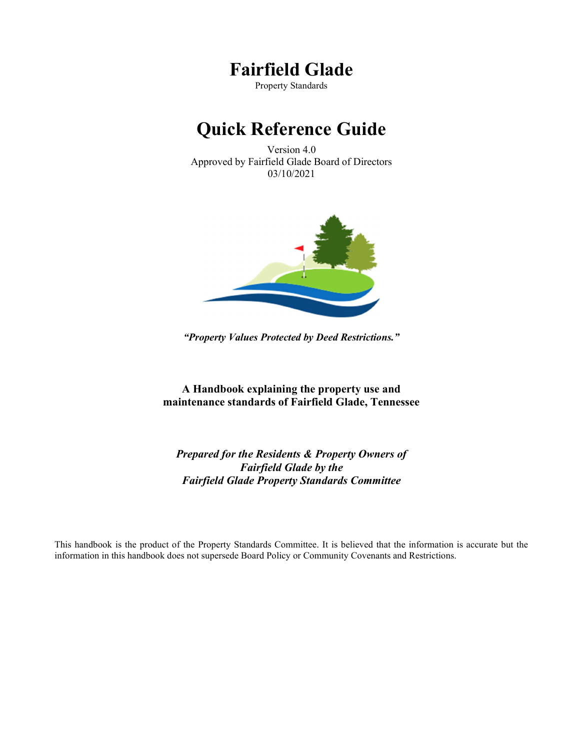## Fairfield Glade

Property Standards

# Quick Reference Guide

Version 4.0 Approved by Fairfield Glade Board of Directors 03/10/2021



"Property Values Protected by Deed Restrictions."

A Handbook explaining the property use and maintenance standards of Fairfield Glade, Tennessee

Prepared for the Residents & Property Owners of Fairfield Glade by the Fairfield Glade Property Standards Committee

This handbook is the product of the Property Standards Committee. It is believed that the information is accurate but the information in this handbook does not supersede Board Policy or Community Covenants and Restrictions.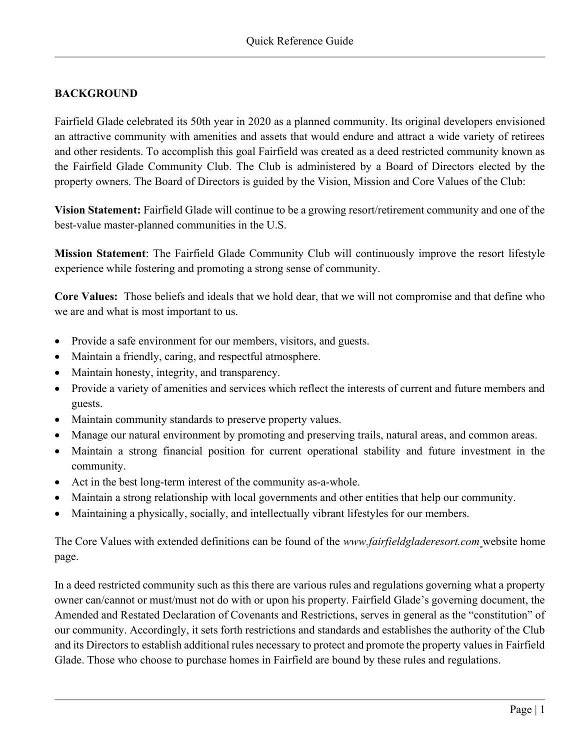## BACKGROUND

Fairfield Glade celebrated its 50th year in 2020 as a planned community. Its original developers envisioned an attractive community with amenities and assets that would endure and attract a wide variety of retirees and other residents. To accomplish this goal Fairfield was created as a deed restricted community known as the Fairfield Glade Community Club. The Club is administered by a Board of Directors elected by the property owners. The Board of Directors is guided by the Vision, Mission and Core Values of the Club:

Vision Statement: Fairfield Glade will continue to be a growing resort/retirement community and one of the best-value master-planned communities in the U.S.

Mission Statement: The Fairfield Glade Community Club will continuously improve the resort lifestyle experience while fostering and promoting a strong sense of community.

Core Values: Those beliefs and ideals that we hold dear, that we will not compromise and that define who we are and what is most important to us.

- Provide a safe environment for our members, visitors, and guests.
- Maintain a friendly, caring, and respectful atmosphere.
- Maintain honesty, integrity, and transparency.
- Provide a variety of amenities and services which reflect the interests of current and future members and guests.
- Maintain community standards to preserve property values.
- Manage our natural environment by promoting and preserving trails, natural areas, and common areas.
- Maintain a strong financial position for current operational stability and future investment in the community.
- Act in the best long-term interest of the community as-a-whole.
- Maintain a strong relationship with local governments and other entities that help our community.
- Maintaining a physically, socially, and intellectually vibrant lifestyles for our members.

The Core Values with extended definitions can be found of the *www.fairfieldgladeresort.com* website home page.

In a deed restricted community such as this there are various rules and regulations governing what a property owner can/cannot or must/must not do with or upon his property. Fairfield Glade's governing document, the Amended and Restated Declaration of Covenants and Restrictions, serves in general as the "constitution" of our community. Accordingly, it sets forth restrictions and standards and establishes the authority of the Club and its Directors to establish additional rules necessary to protect and promote the property values in Fairfield Glade. Those who choose to purchase homes in Fairfield are bound by these rules and regulations.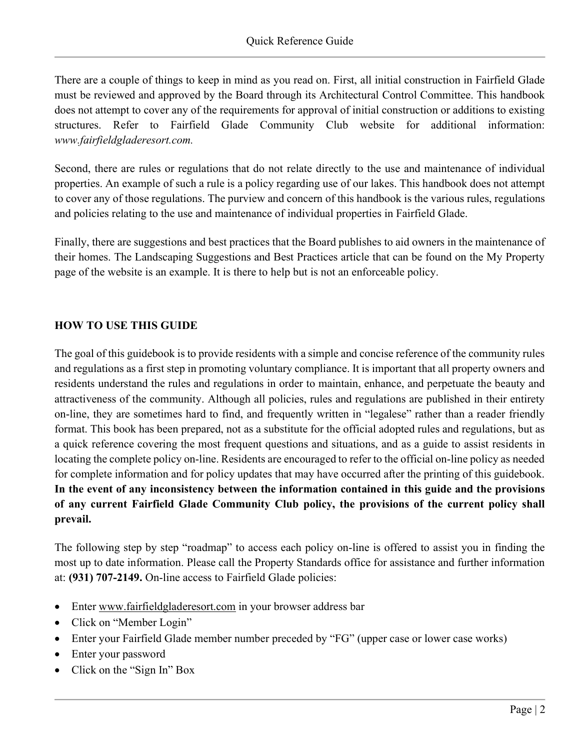There are a couple of things to keep in mind as you read on. First, all initial construction in Fairfield Glade must be reviewed and approved by the Board through its Architectural Control Committee. This handbook does not attempt to cover any of the requirements for approval of initial construction or additions to existing structures. Refer to Fairfield Glade Community Club website for additional information: www.fairfieldgladeresort.com.

Second, there are rules or regulations that do not relate directly to the use and maintenance of individual properties. An example of such a rule is a policy regarding use of our lakes. This handbook does not attempt to cover any of those regulations. The purview and concern of this handbook is the various rules, regulations and policies relating to the use and maintenance of individual properties in Fairfield Glade.

Finally, there are suggestions and best practices that the Board publishes to aid owners in the maintenance of their homes. The Landscaping Suggestions and Best Practices article that can be found on the My Property page of the website is an example. It is there to help but is not an enforceable policy.

#### HOW TO USE THIS GUIDE

The goal of this guidebook is to provide residents with a simple and concise reference of the community rules and regulations as a first step in promoting voluntary compliance. It is important that all property owners and residents understand the rules and regulations in order to maintain, enhance, and perpetuate the beauty and attractiveness of the community. Although all policies, rules and regulations are published in their entirety on-line, they are sometimes hard to find, and frequently written in "legalese" rather than a reader friendly format. This book has been prepared, not as a substitute for the official adopted rules and regulations, but as a quick reference covering the most frequent questions and situations, and as a guide to assist residents in locating the complete policy on-line. Residents are encouraged to refer to the official on-line policy as needed for complete information and for policy updates that may have occurred after the printing of this guidebook. In the event of any inconsistency between the information contained in this guide and the provisions of any current Fairfield Glade Community Club policy, the provisions of the current policy shall prevail.

The following step by step "roadmap" to access each policy on-line is offered to assist you in finding the most up to date information. Please call the Property Standards office for assistance and further information at: (931) 707-2149. On-line access to Fairfield Glade policies:

- Enter www.fairfieldgladeresort.com in your browser address bar
- Click on "Member Login"
- Enter your Fairfield Glade member number preceded by "FG" (upper case or lower case works)
- Enter your password
- Click on the "Sign In" Box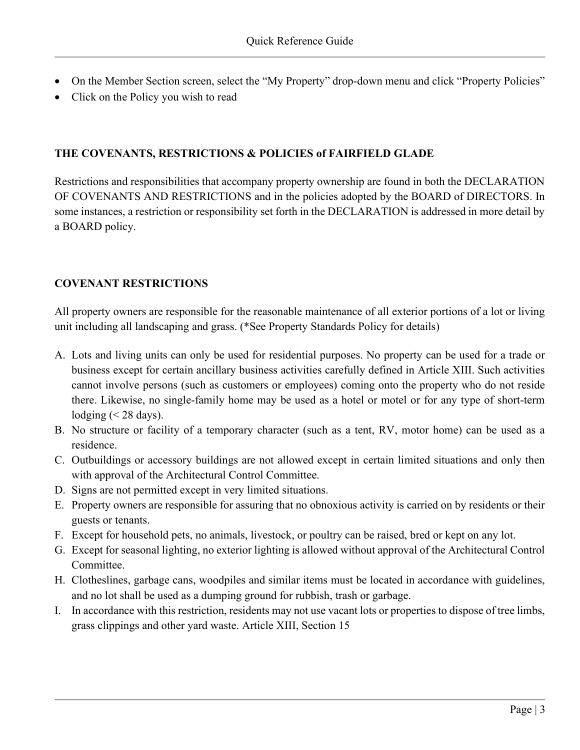- On the Member Section screen, select the "My Property" drop-down menu and click "Property Policies"
- Click on the Policy you wish to read

### THE COVENANTS, RESTRICTIONS & POLICIES of FAIRFIELD GLADE

Restrictions and responsibilities that accompany property ownership are found in both the DECLARATION OF COVENANTS AND RESTRICTIONS and in the policies adopted by the BOARD of DIRECTORS. In some instances, a restriction or responsibility set forth in the DECLARATION is addressed in more detail by a BOARD policy.

## COVENANT RESTRICTIONS

All property owners are responsible for the reasonable maintenance of all exterior portions of a lot or living unit including all landscaping and grass. (\*See Property Standards Policy for details)

- A. Lots and living units can only be used for residential purposes. No property can be used for a trade or business except for certain ancillary business activities carefully defined in Article XIII. Such activities cannot involve persons (such as customers or employees) coming onto the property who do not reside there. Likewise, no single-family home may be used as a hotel or motel or for any type of short-term lodging  $(< 28$  days).
- B. No structure or facility of a temporary character (such as a tent, RV, motor home) can be used as a residence.
- C. Outbuildings or accessory buildings are not allowed except in certain limited situations and only then with approval of the Architectural Control Committee.
- D. Signs are not permitted except in very limited situations.
- E. Property owners are responsible for assuring that no obnoxious activity is carried on by residents or their guests or tenants.
- F. Except for household pets, no animals, livestock, or poultry can be raised, bred or kept on any lot.
- G. Except for seasonal lighting, no exterior lighting is allowed without approval of the Architectural Control Committee.
- H. Clotheslines, garbage cans, woodpiles and similar items must be located in accordance with guidelines, and no lot shall be used as a dumping ground for rubbish, trash or garbage.
- I. In accordance with this restriction, residents may not use vacant lots or properties to dispose of tree limbs, grass clippings and other yard waste. Article XIII, Section 15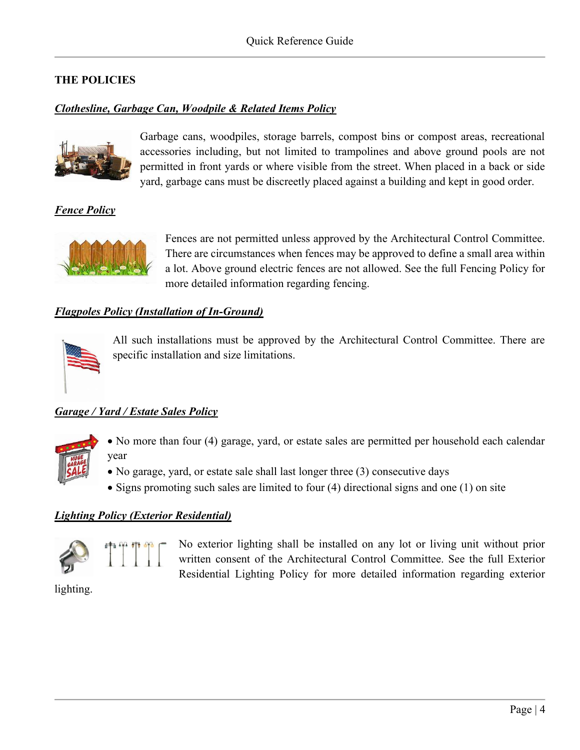## THE POLICIES

### Clothesline, Garbage Can, Woodpile & Related Items Policy



Garbage cans, woodpiles, storage barrels, compost bins or compost areas, recreational accessories including, but not limited to trampolines and above ground pools are not permitted in front yards or where visible from the street. When placed in a back or side yard, garbage cans must be discreetly placed against a building and kept in good order.

**Fence Policy** 



Fences are not permitted unless approved by the Architectural Control Committee. There are circumstances when fences may be approved to define a small area within a lot. Above ground electric fences are not allowed. See the full Fencing Policy for more detailed information regarding fencing.

#### Flagpoles Policy (Installation of In-Ground)



All such installations must be approved by the Architectural Control Committee. There are specific installation and size limitations.

#### Garage / Yard / Estate Sales Policy



- No more than four (4) garage, yard, or estate sales are permitted per household each calendar year
- No garage, yard, or estate sale shall last longer three (3) consecutive days
- $\bullet$  Signs promoting such sales are limited to four (4) directional signs and one (1) on site

#### Lighting Policy (Exterior Residential)



No exterior lighting shall be installed on any lot or living unit without prior written consent of the Architectural Control Committee. See the full Exterior Residential Lighting Policy for more detailed information regarding exterior

lighting.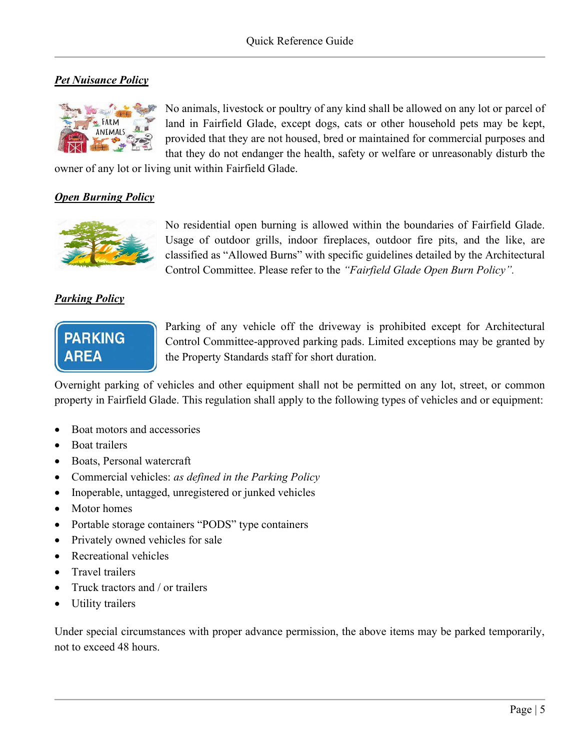## **Pet Nuisance Policy**



No animals, livestock or poultry of any kind shall be allowed on any lot or parcel of land in Fairfield Glade, except dogs, cats or other household pets may be kept, provided that they are not housed, bred or maintained for commercial purposes and that they do not endanger the health, safety or welfare or unreasonably disturb the

owner of any lot or living unit within Fairfield Glade.

#### Open Burning Policy



No residential open burning is allowed within the boundaries of Fairfield Glade. Usage of outdoor grills, indoor fireplaces, outdoor fire pits, and the like, are classified as "Allowed Burns" with specific guidelines detailed by the Architectural Control Committee. Please refer to the "Fairfield Glade Open Burn Policy".

## Parking Policy



Parking of any vehicle off the driveway is prohibited except for Architectural Control Committee-approved parking pads. Limited exceptions may be granted by the Property Standards staff for short duration.

Overnight parking of vehicles and other equipment shall not be permitted on any lot, street, or common property in Fairfield Glade. This regulation shall apply to the following types of vehicles and or equipment:

- Boat motors and accessories
- Boat trailers
- Boats, Personal watercraft
- Commercial vehicles: as defined in the Parking Policy
- Inoperable, untagged, unregistered or junked vehicles
- Motor homes
- Portable storage containers "PODS" type containers
- Privately owned vehicles for sale
- Recreational vehicles
- Travel trailers
- Truck tractors and / or trailers
- Utility trailers

Under special circumstances with proper advance permission, the above items may be parked temporarily, not to exceed 48 hours.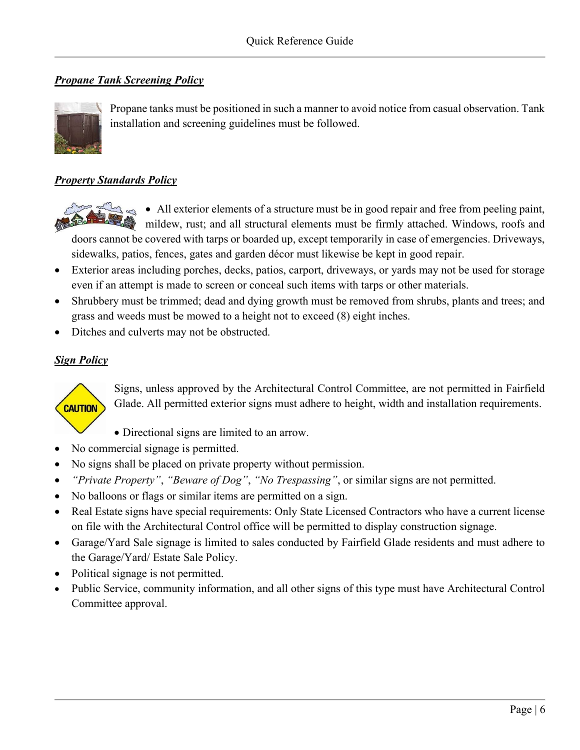## **Propane Tank Screening Policy**



Propane tanks must be positioned in such a manner to avoid notice from casual observation. Tank installation and screening guidelines must be followed.

### **Property Standards Policy**



All exterior elements of a structure must be in good repair and free from peeling paint, mildew, rust; and all structural elements must be firmly attached. Windows, roofs and doors cannot be covered with tarps or boarded up, except temporarily in case of emergencies. Driveways,

sidewalks, patios, fences, gates and garden décor must likewise be kept in good repair.

- Exterior areas including porches, decks, patios, carport, driveways, or yards may not be used for storage even if an attempt is made to screen or conceal such items with tarps or other materials.
- Shrubbery must be trimmed; dead and dying growth must be removed from shrubs, plants and trees; and grass and weeds must be mowed to a height not to exceed (8) eight inches.
- Ditches and culverts may not be obstructed.

## **Sign Policy**



Signs, unless approved by the Architectural Control Committee, are not permitted in Fairfield Glade. All permitted exterior signs must adhere to height, width and installation requirements.

- Directional signs are limited to an arrow.
- No commercial signage is permitted.
- No signs shall be placed on private property without permission.
- "Private Property", "Beware of Dog", "No Trespassing", or similar signs are not permitted.
- No balloons or flags or similar items are permitted on a sign.
- Real Estate signs have special requirements: Only State Licensed Contractors who have a current license on file with the Architectural Control office will be permitted to display construction signage.
- Garage/Yard Sale signage is limited to sales conducted by Fairfield Glade residents and must adhere to the Garage/Yard/ Estate Sale Policy.
- Political signage is not permitted.
- Public Service, community information, and all other signs of this type must have Architectural Control Committee approval.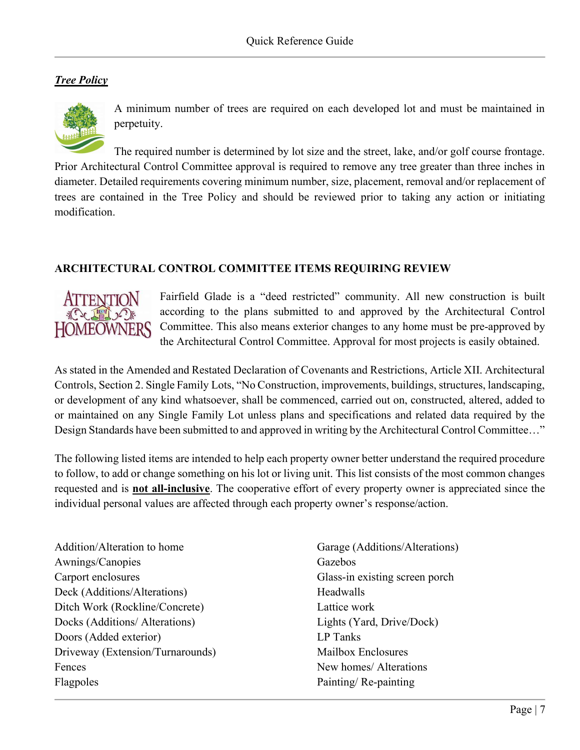## **Tree Policy**



A minimum number of trees are required on each developed lot and must be maintained in perpetuity.

The required number is determined by lot size and the street, lake, and/or golf course frontage. Prior Architectural Control Committee approval is required to remove any tree greater than three inches in diameter. Detailed requirements covering minimum number, size, placement, removal and/or replacement of trees are contained in the Tree Policy and should be reviewed prior to taking any action or initiating modification.

#### ARCHITECTURAL CONTROL COMMITTEE ITEMS REQUIRING REVIEW



Fairfield Glade is a "deed restricted" community. All new construction is built according to the plans submitted to and approved by the Architectural Control Committee. This also means exterior changes to any home must be pre-approved by the Architectural Control Committee. Approval for most projects is easily obtained.

As stated in the Amended and Restated Declaration of Covenants and Restrictions, Article XII. Architectural Controls, Section 2. Single Family Lots, "No Construction, improvements, buildings, structures, landscaping, or development of any kind whatsoever, shall be commenced, carried out on, constructed, altered, added to or maintained on any Single Family Lot unless plans and specifications and related data required by the Design Standards have been submitted to and approved in writing by the Architectural Control Committee…"

The following listed items are intended to help each property owner better understand the required procedure to follow, to add or change something on his lot or living unit. This list consists of the most common changes requested and is **not all-inclusive**. The cooperative effort of every property owner is appreciated since the individual personal values are affected through each property owner's response/action.

Addition/Alteration to home Awnings/Canopies Carport enclosures Deck (Additions/Alterations) Ditch Work (Rockline/Concrete) Docks (Additions/ Alterations) Doors (Added exterior) Driveway (Extension/Turnarounds) Fences Flagpoles

Garage (Additions/Alterations) Gazebos Glass-in existing screen porch Headwalls Lattice work Lights (Yard, Drive/Dock) LP Tanks Mailbox Enclosures New homes/ Alterations Painting/ Re-painting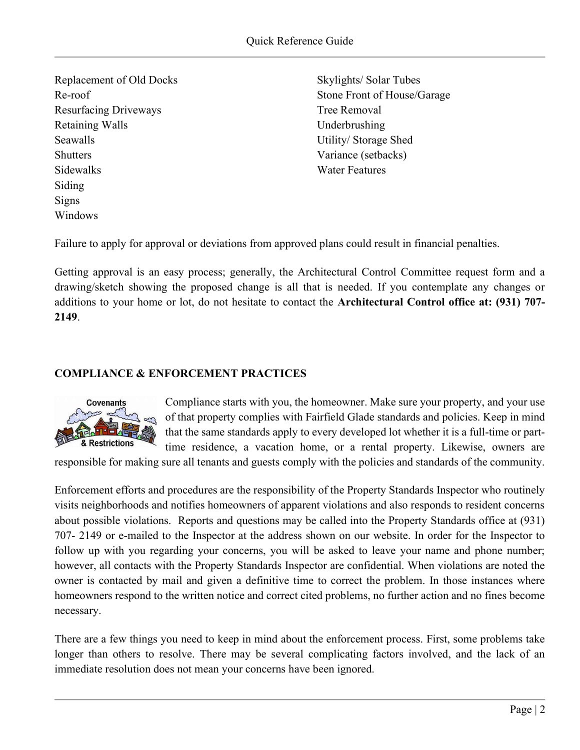Replacement of Old Docks Re-roof Resurfacing Driveways Retaining Walls Seawalls **Shutters** Sidewalks Siding Signs Windows

Skylights/ Solar Tubes Stone Front of House/Garage Tree Removal Underbrushing Utility/ Storage Shed Variance (setbacks) Water Features

Failure to apply for approval or deviations from approved plans could result in financial penalties.

Getting approval is an easy process; generally, the Architectural Control Committee request form and a drawing/sketch showing the proposed change is all that is needed. If you contemplate any changes or additions to your home or lot, do not hesitate to contact the Architectural Control office at: (931) 707- 2149.

#### COMPLIANCE & ENFORCEMENT PRACTICES



Compliance starts with you, the homeowner. Make sure your property, and your use of that property complies with Fairfield Glade standards and policies. Keep in mind that the same standards apply to every developed lot whether it is a full-time or parttime residence, a vacation home, or a rental property. Likewise, owners are

responsible for making sure all tenants and guests comply with the policies and standards of the community.

Enforcement efforts and procedures are the responsibility of the Property Standards Inspector who routinely visits neighborhoods and notifies homeowners of apparent violations and also responds to resident concerns about possible violations. Reports and questions may be called into the Property Standards office at (931) 707- 2149 or e-mailed to the Inspector at the address shown on our website. In order for the Inspector to follow up with you regarding your concerns, you will be asked to leave your name and phone number; however, all contacts with the Property Standards Inspector are confidential. When violations are noted the owner is contacted by mail and given a definitive time to correct the problem. In those instances where homeowners respond to the written notice and correct cited problems, no further action and no fines become necessary.

There are a few things you need to keep in mind about the enforcement process. First, some problems take longer than others to resolve. There may be several complicating factors involved, and the lack of an immediate resolution does not mean your concerns have been ignored.